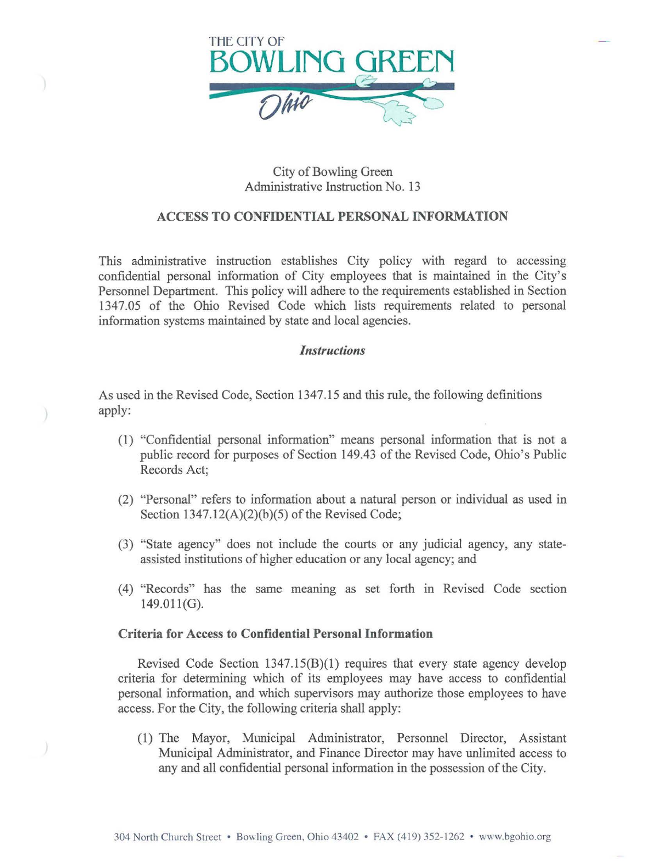

## City of Bowling Green Administrative Instruction No. 13

## ACCESS TO CONFIDENTIAL PERSONAL INFORMATION

This administrative instruction establishes City policy with regard to accessing confidential personal information of City employees that is maintained in the City's Personnel Department. This policy will adhere to the requirements established in Section 1347.05 of the Ohio Revised Code which lists requirements related to personal information systems maintained by state and local agencies.

## *Instructions*

As used in the Revised Code, Section 1347.15 and this rule, the following definitions apply:

- (1) "Confidential personal information" means personal information that is not a public record for purposes of Section 149.43 of the Revised Code, Ohio's Public Records Act;
- (2) "Personal" refers to information about a natural person or individual as used in Section  $1347.12(A)(2)(b)(5)$  of the Revised Code;
- (3) "State agency" does not include the courts or any judicial agency, any stateassisted institutions of higher education or any local agency; and
- ( 4) "Records" has the same meaning as set forth in Revised Code section 149.011(G).

## Criteria for Access to Confidential Personal Information

Revised Code Section 1347.15(B)(l) requires that every state agency develop criteria for determining which of its employees may have access to confidential personal information, and which supervisors may authorize those employees to have access. For the City, the following criteria shall apply:

(1) The Mayor, Municipal Administrator, Personnel Director, Assistant Municipal Administrator, and Finance Director may have unlimited access to any and all confidential personal information in the possession of the City.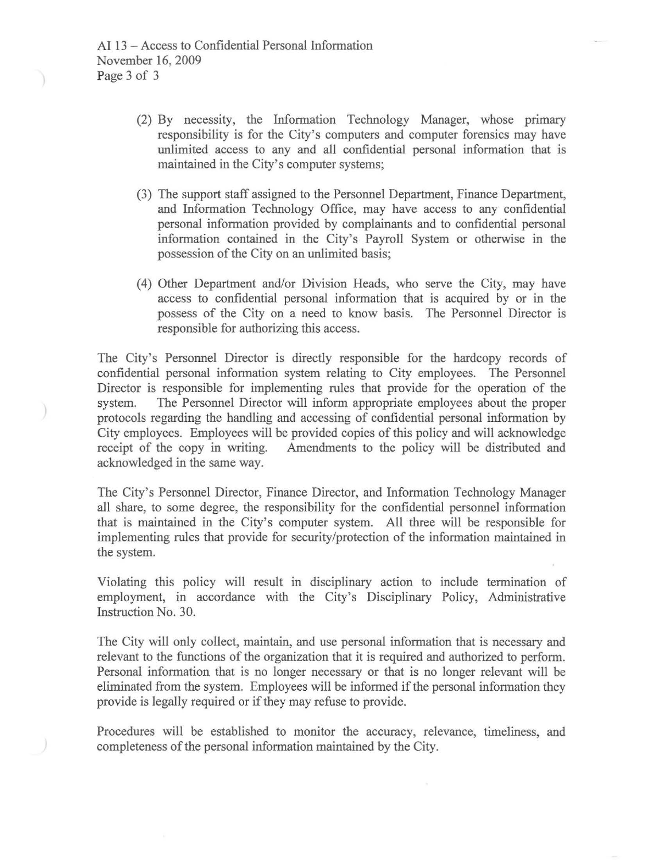- (2) By necessity, the Information Technology Manager, whose primary responsibility is for the City's computers and computer forensics may have unlimited access to any and all confidential personal information that is maintained in the City's computer systems;
- (3) The support staff assigned to the Personnel Department, Finance Department, and Information Technology Office, may have access to any confidential personal information provided by complainants and to confidential personal information contained in the City's Payroll System or otherwise in the possession of the City on an unlimited basis;
- (4) Other Department and/or Division Heads, who serve the City, may have access to confidential personal information that is acquired by or in the possess of the City on a need to know basis. The Personnel Director is responsible for authorizing this access.

The City's Personnel Director is directly responsible for the hardcopy records of confidential personal information system relating to City employees. The Personnel Director is responsible for implementing rules that provide for the operation of the system. The Personnel Director will inform appropriate employees about the proper The Personnel Director will inform appropriate employees about the proper protocols regarding the handling and accessing of confidential personal information by City employees. Employees will be provided copies of this policy and will acknowledge receipt of the copy in writing. Amendments to the policy will be distributed and Amendments to the policy will be distributed and acknowledged in the same way.

The City's Personnel Director, Finance Director, and Information Technology Manager all share, to some degree, the responsibility for the confidential personnel information that is maintained in the City's computer system. All three will be responsible for implementing rules that provide for security/protection of the information maintained in the system.

Violating this policy will result in disciplinary action to include termination of employment, in accordance with the City's Disciplinary Policy, Administrative Instruction No. 30.

The City will only collect, maintain, and use personal information that is necessary and relevant to the functions of the organization that it is required and authorized to perform. Personal information that is no longer necessary or that is no longer relevant will be eliminated from the system. Employees will be informed if the personal information they provide is legally required or if they may refuse to provide.

Procedures will be established to monitor the accuracy, relevance, timeliness, and completeness of the personal information maintained by the City.